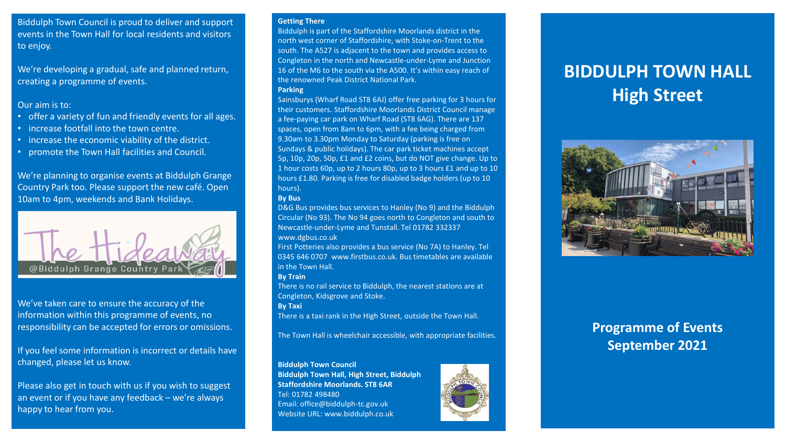Biddulph Town Council is proud to deliver and support events in the Town Hall for local residents and visitors to enjoy.

We're developing a gradual, safe and planned return, creating a programme of events.

## Our aim is to:

- offer a variety of fun and friendly events for all ages.
- increase footfall into the town centre.
- increase the economic viability of the district.
- promote the Town Hall facilities and Council.

We're planning to organise events at Biddulph Grange Country Park too. Please support the new café. Open 10am to 4pm, weekends and Bank Holidays.



We've taken care to ensure the accuracy of the information within this programme of events, no responsibility can be accepted for errors or omissions.

If you feel some information is incorrect or details have changed, please let us know.

Please also get in touch with us if you wish to suggest an event or if you have any feedback – we're always happy to hear from you.

#### **Getting There**

Biddulph is part of the Staffordshire Moorlands district in the north west corner of Staffordshire, with Stoke-on-Trent to the south. The A527 is adjacent to the town and provides access to Congleton in the north and Newcastle-under-Lyme and Junction 16 of the M6 to the south via the A500. It's within easy reach of the renowned Peak District National Park. **Parking** 

Sainsburys (Wharf Road ST8 6AJ) offer free parking for 3 hours for their customers. Staffordshire Moorlands District Council manage a fee-paying car park on Wharf Road (ST8 6AG). There are 137 spaces, open from 8am to 6pm, with a fee being charged from 9.30am to 3.30pm Monday to Saturday (parking is free on Sundays & public holidays). The car park ticket machines accept 5p, 10p, 20p, 50p, £1 and £2 coins, but do NOT give change. Up to 1 hour costs 60p, up to 2 hours 80p, up to 3 hours £1 and up to 10 hours £1.80. Parking is free for disabled badge holders (up to 10 hours).

#### **By Bus**

D&G Bus provides bus services to Hanley (No 9) and the Biddulph Circular (No 93). The No 94 goes north to Congleton and south to Newcastle-under-Lyme and Tunstall. Tel 01782 332337 www.dgbus.co.uk

First Potteries also provides a bus service (No 7A) to Hanley. Tel 0345 646 0707 www.firstbus.co.uk. Bus timetables are available in the Town Hall.

#### **By Train**

There is no rail service to Biddulph, the nearest stations are at Congleton, Kidsgrove and Stoke.

**By Taxi** 

There is a taxi rank in the High Street, outside the Town Hall.

The Town Hall is wheelchair accessible, with appropriate facilities.

## **Biddulph Town Council**

**Biddulph Town Hall, High Street, Biddulph Staffordshire Moorlands. ST8 6AR**  Tel: 01782 498480 Email: office@biddulph-tc.gov.uk Website URL: www.biddulph.co.uk



# **BIDDULPH TOWN HALL High Street**



## **Programme of Events September 2021**